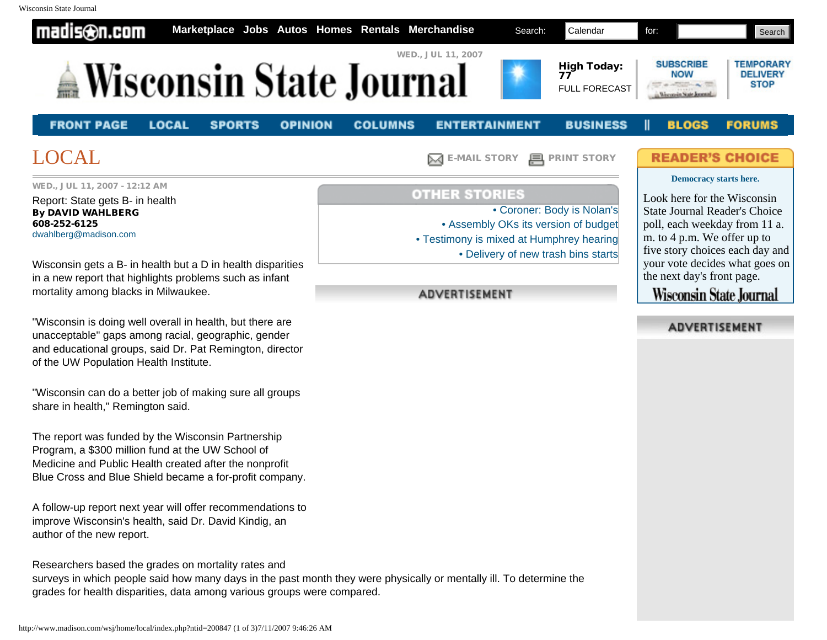